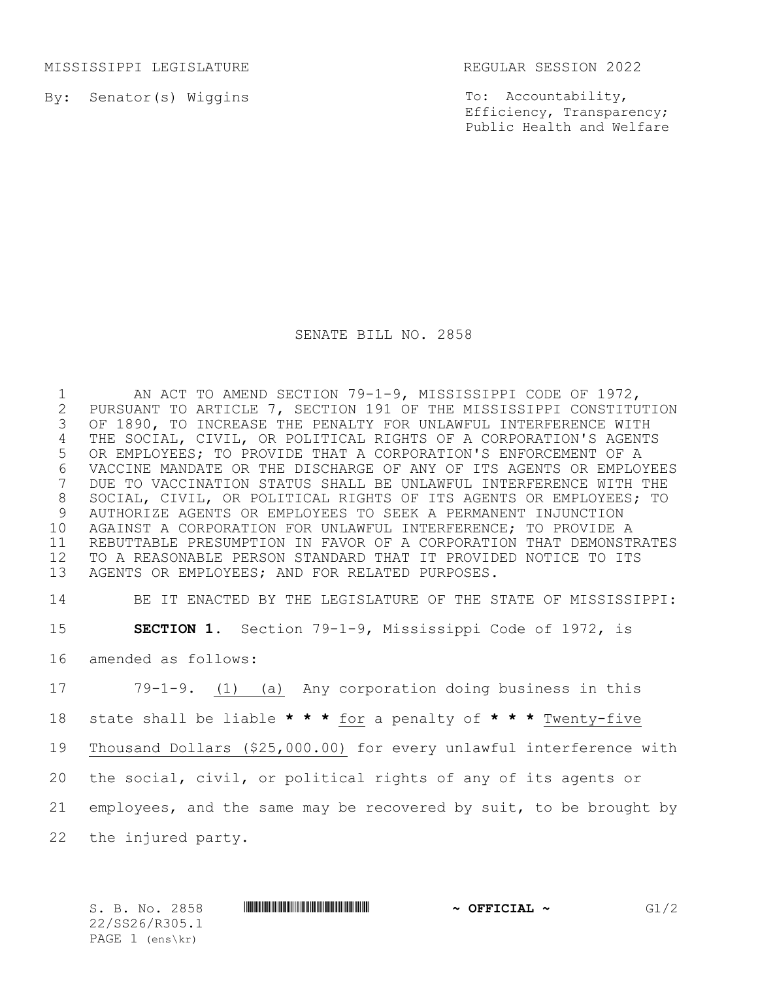MISSISSIPPI LEGISLATURE REGULAR SESSION 2022

By: Senator(s) Wiggins

To: Accountability, Efficiency, Transparency; Public Health and Welfare

## SENATE BILL NO. 2858

1 MORT TO AMEND SECTION 79-1-9, MISSISSIPPI CODE OF 1972,<br>2 PURSUANT TO ARTICLE 7, SECTION 191 OF THE MISSISSIPPI CONSTITU 2 PURSUANT TO ARTICLE 7, SECTION 191 OF THE MISSISSIPPI CONSTITUTION<br>3 OF 1890, TO INCREASE THE PENALTY FOR UNLAWFUL INTERFERENCE WITH OF 1890, TO INCREASE THE PENALTY FOR UNLAWFUL INTERFERENCE WITH THE SOCIAL, CIVIL, OR POLITICAL RIGHTS OF A CORPORATION'S AGENTS OR EMPLOYEES; TO PROVIDE THAT A CORPORATION'S ENFORCEMENT OF A 6 VACCINE MANDATE OR THE DISCHARGE OF ANY OF ITS AGENTS OR EMPLOYEES<br>7 DUE TO VACCINATION STATUS SHALL BE UNLAWFUL INTERFERENCE WITH THE DUE TO VACCINATION STATUS SHALL BE UNLAWFUL INTERFERENCE WITH THE SOCIAL, CIVIL, OR POLITICAL RIGHTS OF ITS AGENTS OR EMPLOYEES; TO AUTHORIZE AGENTS OR EMPLOYEES TO SEEK A PERMANENT INJUNCTION AGAINST A CORPORATION FOR UNLAWFUL INTERFERENCE; TO PROVIDE A REBUTTABLE PRESUMPTION IN FAVOR OF A CORPORATION THAT DEMONSTRATES TO A REASONABLE PERSON STANDARD THAT IT PROVIDED NOTICE TO ITS AGENTS OR EMPLOYEES; AND FOR RELATED PURPOSES.

14 BE IT ENACTED BY THE LEGISLATURE OF THE STATE OF MISSISSIPPI: 15 **SECTION 1.** Section 79-1-9, Mississippi Code of 1972, is 16 amended as follows:

 79-1-9. (1) (a) Any corporation doing business in this state shall be liable **\* \* \*** for a penalty of **\* \* \*** Twenty-five Thousand Dollars (\$25,000.00) for every unlawful interference with the social, civil, or political rights of any of its agents or employees, and the same may be recovered by suit, to be brought by the injured party.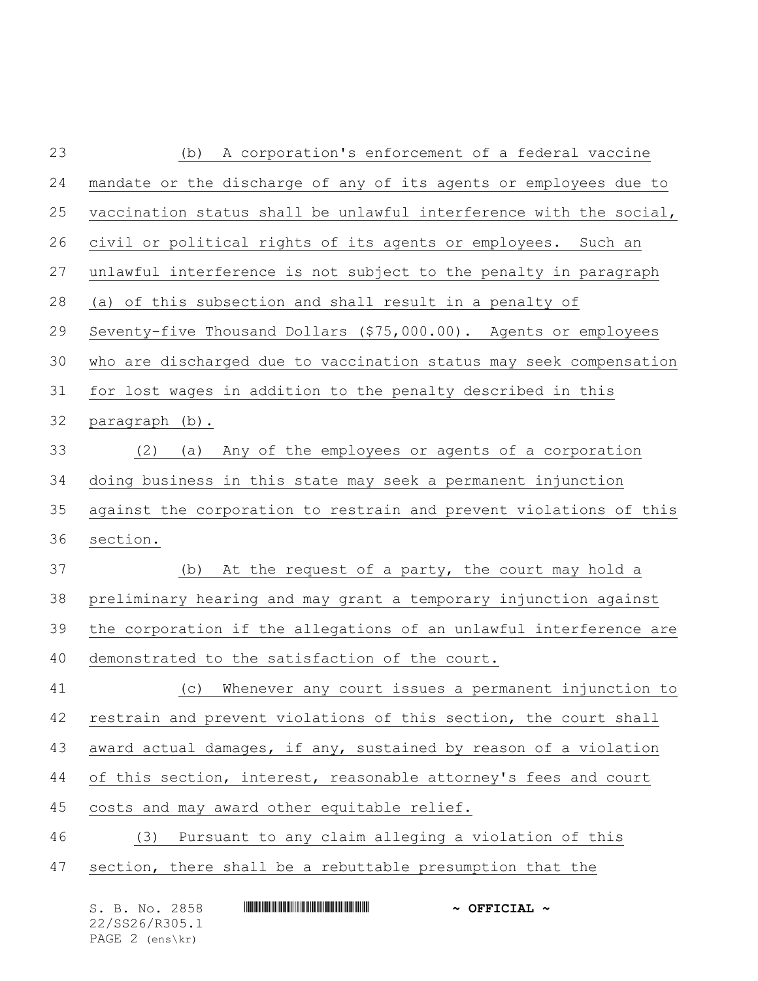| 23 | A corporation's enforcement of a federal vaccine<br>(b)            |
|----|--------------------------------------------------------------------|
| 24 | mandate or the discharge of any of its agents or employees due to  |
| 25 | vaccination status shall be unlawful interference with the social, |
| 26 | civil or political rights of its agents or employees. Such an      |
| 27 | unlawful interference is not subject to the penalty in paragraph   |
| 28 | (a) of this subsection and shall result in a penalty of            |
| 29 | Seventy-five Thousand Dollars (\$75,000.00). Agents or employees   |
| 30 | who are discharged due to vaccination status may seek compensation |
| 31 | for lost wages in addition to the penalty described in this        |
| 32 | paragraph (b).                                                     |
| 33 | Any of the employees or agents of a corporation<br>(2)<br>(a)      |
| 34 | doing business in this state may seek a permanent injunction       |
| 35 | against the corporation to restrain and prevent violations of this |
| 36 | section.                                                           |
| 37 | At the request of a party, the court may hold a<br>(b)             |
| 38 | preliminary hearing and may grant a temporary injunction against   |
| 39 | the corporation if the allegations of an unlawful interference are |
| 40 | demonstrated to the satisfaction of the court.                     |
| 41 | (c) Whenever any court issues a permanent injunction to            |
| 42 | restrain and prevent violations of this section, the court shall   |
| 43 | award actual damages, if any, sustained by reason of a violation   |
| 44 | of this section, interest, reasonable attorney's fees and court    |
| 45 | costs and may award other equitable relief.                        |
| 46 | Pursuant to any claim alleging a violation of this<br>(3)          |
| 47 | section, there shall be a rebuttable presumption that the          |
|    |                                                                    |

| S. B. No. 2858    |  |  | $\sim$ OFFICIAL $\sim$ |  |
|-------------------|--|--|------------------------|--|
| 22/SS26/R305.1    |  |  |                        |  |
| PAGE $2$ (ens\kr) |  |  |                        |  |